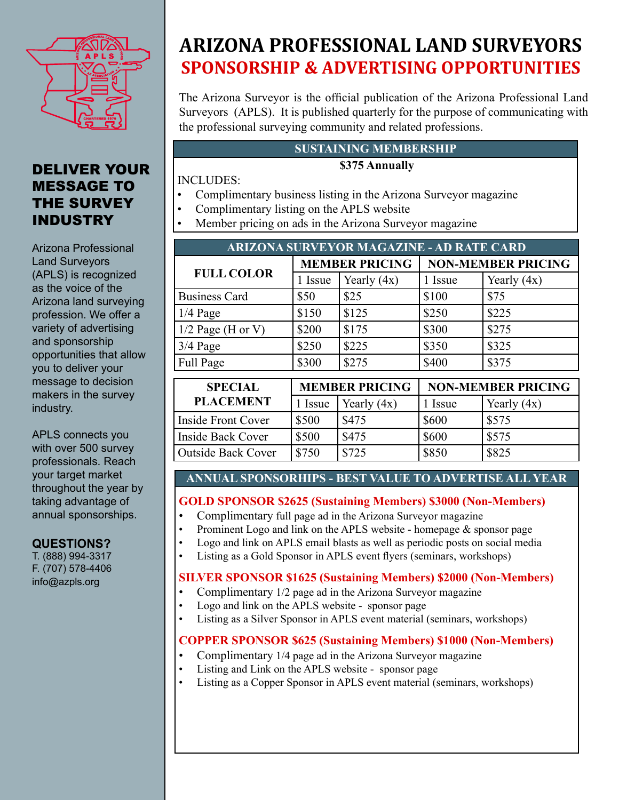

## DELIVER YOUR MESSAGE TO THE SURVEY INDUSTRY

Arizona Professional Land Surveyors (APLS) is recognized as the voice of the Arizona land surveying profession. We offer a variety of advertising and sponsorship opportunities that allow you to deliver your message to decision makers in the survey industry.

APLS connects you with over 500 survey professionals. Reach your target market throughout the year by taking advantage of annual sponsorships.

### **QUESTIONS?**

T. (888) 994-3317 F. (707) 578-4406 info@azpls.org

# **ARIZONA PROFESSIONAL LAND SURVEYORS SPONSORSHIP & ADVERTISING OPPORTUNITIES**

The Arizona Surveyor is the official publication of the Arizona Professional Land Surveyors (APLS). It is published quarterly for the purpose of communicating with the professional surveying community and related professions.

### **SUSTAINING MEMBERSHIP**

### **\$375 Annually**

INCLUDES:

- Complimentary business listing in the Arizona Surveyor magazine
- Complimentary listing on the APLS website
- Member pricing on ads in the Arizona Surveyor magazine

| <b>ARIZONA SURVEYOR MAGAZINE - AD RATE CARD</b> |                                                    |               |                           |               |  |  |
|-------------------------------------------------|----------------------------------------------------|---------------|---------------------------|---------------|--|--|
| <b>FULL COLOR</b>                               | <b>MEMBER PRICING</b>                              |               | <b>NON-MEMBER PRICING</b> |               |  |  |
|                                                 | 1 Issue                                            | Yearly $(4x)$ | 1 Issue                   | Yearly $(4x)$ |  |  |
| <b>Business Card</b>                            | \$50                                               | \$25          | \$100                     | \$75          |  |  |
| $1/4$ Page                                      | \$150                                              | \$125         | \$250                     | \$225         |  |  |
| $1/2$ Page (H or V)                             | \$200                                              | \$175         | \$300                     | \$275         |  |  |
| $3/4$ Page                                      | \$250                                              | \$225         | \$350                     | \$325         |  |  |
| Full Page                                       | \$300                                              | \$275         | \$400                     | \$375         |  |  |
| <b>SPECIAL</b>                                  | <b>MEMBER PRICING</b><br><b>NON-MEMBER PRICING</b> |               |                           |               |  |  |
|                                                 |                                                    |               |                           |               |  |  |
| <b>PLACEMENT</b>                                | 1 Issue                                            | Yearly $(4x)$ | 1 Issue                   | Yearly $(4x)$ |  |  |
| <b>Inside Front Cover</b>                       | \$500                                              | \$475         | \$600                     | \$575         |  |  |
| <b>Inside Back Cover</b>                        | \$500                                              | \$475         | \$600                     | \$575         |  |  |
| <b>Outside Back Cover</b>                       | \$750                                              | \$725         | \$850                     | \$825         |  |  |

### **ANNUAL SPONSORHIPS - BEST VALUE TO ADVERTISE ALL YEAR**

### **GOLD SPONSOR \$2625 (Sustaining Members) \$3000 (Non-Members)**

- Complimentary full page ad in the Arizona Surveyor magazine
- Prominent Logo and link on the APLS website homepage  $\&$  sponsor page<br>• Logo and link on APLS email blasts as well as periodic posts on social med
	- Logo and link on APLS email blasts as well as periodic posts on social media
- Listing as a Gold Sponsor in APLS event flyers (seminars, workshops)

### **SILVER SPONSOR \$1625 (Sustaining Members) \$2000 (Non-Members)**

- Complimentary 1/2 page ad in the Arizona Surveyor magazine
- Logo and link on the APLS website sponsor page
- Listing as a Silver Sponsor in APLS event material (seminars, workshops)

### **COPPER SPONSOR \$625 (Sustaining Members) \$1000 (Non-Members)**

- Complimentary 1/4 page ad in the Arizona Surveyor magazine
- Listing and Link on the APLS website sponsor page
- Listing as a Copper Sponsor in APLS event material (seminars, workshops)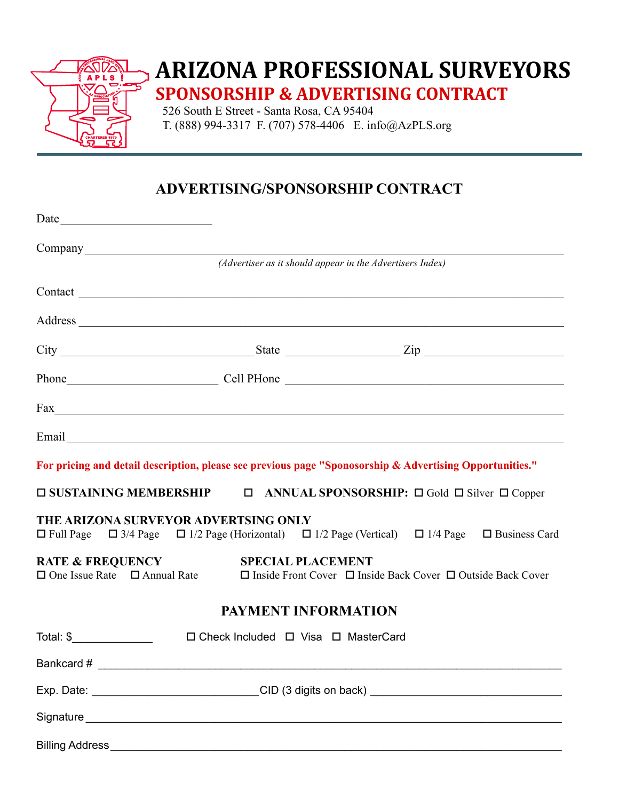

# **ARIZONA PROFESSIONAL SURVEYORS SPONSORSHIP & ADVERTISING CONTRACT**

526 South E Street - Santa Rosa, CA 95404 T. (888) 994-3317 F. (707) 578-4406 E. info@AzPLS.org

## **ADVERTISING/SPONSORSHIP CONTRACT**

| Date                                                                                                                                                                  |                                                           |  |  |
|-----------------------------------------------------------------------------------------------------------------------------------------------------------------------|-----------------------------------------------------------|--|--|
|                                                                                                                                                                       |                                                           |  |  |
|                                                                                                                                                                       | (Advertiser as it should appear in the Advertisers Index) |  |  |
|                                                                                                                                                                       |                                                           |  |  |
|                                                                                                                                                                       |                                                           |  |  |
|                                                                                                                                                                       |                                                           |  |  |
| Phone Cell PHone Cell Phone                                                                                                                                           |                                                           |  |  |
|                                                                                                                                                                       |                                                           |  |  |
|                                                                                                                                                                       |                                                           |  |  |
| For pricing and detail description, please see previous page "Sponosorship & Advertising Opportunities."                                                              |                                                           |  |  |
| $\square$ SUSTAINING MEMBERSHIP $\square$ ANNUAL SPONSORSHIP: $\square$ Gold $\square$ Silver $\square$ Copper                                                        |                                                           |  |  |
| THE ARIZONA SURVEYOR ADVERTSING ONLY<br>$\Box$ Full Page $\Box$ 3/4 Page $\Box$ 1/2 Page (Horizontal) $\Box$ 1/2 Page (Vertical) $\Box$ 1/4 Page $\Box$ Business Card |                                                           |  |  |
| RATE & FREQUENCY<br>□ One Issue Rate □ Annual Rate □ Inside Front Cover □ Inside Back Cover □ Outside Back Cover                                                      |                                                           |  |  |
|                                                                                                                                                                       | PAYMENT INFORMATION                                       |  |  |
| Total: \$                                                                                                                                                             | $\Box$ Check Included $\Box$ Visa $\Box$ MasterCard       |  |  |
|                                                                                                                                                                       |                                                           |  |  |
|                                                                                                                                                                       |                                                           |  |  |
|                                                                                                                                                                       |                                                           |  |  |
| Billing Address_                                                                                                                                                      |                                                           |  |  |